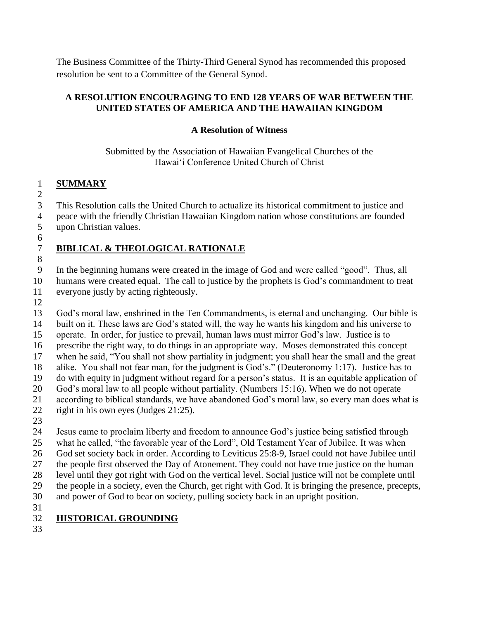The Business Committee of the Thirty-Third General Synod has recommended this proposed resolution be sent to a Committee of the General Synod.

#### **A RESOLUTION ENCOURAGING TO END 128 YEARS OF WAR BETWEEN THE UNITED STATES OF AMERICA AND THE HAWAIIAN KINGDOM**

### **A Resolution of Witness**

Submitted by the Association of Hawaiian Evangelical Churches of the Hawaiʻi Conference United Church of Christ

#### **SUMMARY**

This Resolution calls the United Church to actualize its historical commitment to justice and

 peace with the friendly Christian Hawaiian Kingdom nation whose constitutions are founded upon Christian values.

## **BIBLICAL & THEOLOGICAL RATIONALE**

 In the beginning humans were created in the image of God and were called "good". Thus, all humans were created equal. The call to justice by the prophets is God's commandment to treat

- everyone justly by acting righteously.
- 

 God's moral law, enshrined in the Ten Commandments, is eternal and unchanging. Our bible is built on it. These laws are God's stated will, the way he wants his kingdom and his universe to operate. In order, for justice to prevail, human laws must mirror God's law. Justice is to prescribe the right way, to do things in an appropriate way. Moses demonstrated this concept when he said, "You shall not show partiality in judgment; you shall hear the small and the great alike. You shall not fear man, for the judgment is God's." (Deuteronomy 1:17). Justice has to do with equity in judgment without regard for a person's status. It is an equitable application of God's moral law to all people without partiality. (Numbers 15:16). When we do not operate according to biblical standards, we have abandoned God's moral law, so every man does what is right in his own eyes (Judges 21:25).

 Jesus came to proclaim liberty and freedom to announce God's justice being satisfied through what he called, "the favorable year of the Lord", Old Testament Year of Jubilee. It was when God set society back in order. According to Leviticus 25:8-9, Israel could not have Jubilee until the people first observed the Day of Atonement. They could not have true justice on the human level until they got right with God on the vertical level. Social justice will not be complete until

the people in a society, even the Church, get right with God. It is bringing the presence, precepts,

and power of God to bear on society, pulling society back in an upright position.

## **HISTORICAL GROUNDING**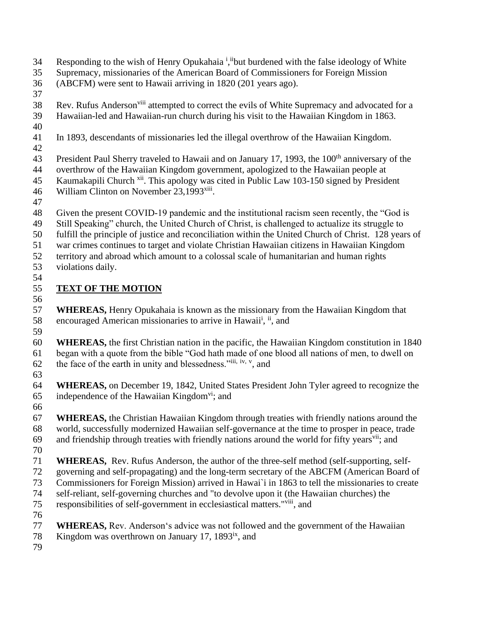- Responding to the wish of Henry Opukahaia<sup>i</sup>, i<sup>i</sup>but burdened with the false ideology of White
- Supremacy, missionaries of the American Board of Commissioners for Foreign Mission
- (ABCFM) were sent to Hawaii arriving in 1820 (201 years ago).
- 
- 38 Rev. Rufus Anderson<sup>viii</sup> attempted to correct the evils of White Supremacy and advocated for a Hawaiian-led and Hawaiian-run church during his visit to the Hawaiian Kingdom in 1863.
- 
- In 1893, descendants of missionaries led the illegal overthrow of the Hawaiian Kingdom.
- 

43 President Paul Sherry traveled to Hawaii and on January 17, 1993, the 100<sup>th</sup> anniversary of the

- overthrow of the Hawaiian Kingdom government, apologized to the Hawaiian people at 45 Kaumakapili Church <sup>xii</sup>. This apology was cited in Public Law 103-150 signed by President
- 46 William Clinton on November 23,1993<sup>[xiii](#page-2-0)</sup>.
- 
- Given the present COVID-19 pandemic and the institutional racism seen recently, the "God is
- Still Speaking" church, the United Church of Christ, is challenged to actualize its struggle to
- fulfill the principle of justice and reconciliation within the United Church of Christ. 128 years of
- war crimes continues to target and violate Christian Hawaiian citizens in Hawaiian Kingdom
- territory and abroad which amount to a colossal scale of humanitarian and human rights violations daily.
- 

# **TEXT OF THE MOTION**

<span id="page-1-1"></span><span id="page-1-0"></span> **WHEREAS,** Henry Opukahaia is known as the missionary from the Hawaiian Kingdom that 58 encouraged American missionaries to arrive in Hawaii<sup>i</sup>, ii, and 

- **WHEREAS,** the first Christian nation in the pacific, the Hawaiian Kingdom constitution in 1840 began with a quote from the bible "God hath made of one blood all nations of men, to dwell on 62 the face of the earth in unity and blessedness." $iii, iv, v$ , and
- 
- **WHEREAS,** on December 19, 1842, United States President John Tyler agreed to recognize the 65 independence of the Hawaiian Kingdom<sup>vi</sup>; and
- 
- **WHEREAS,** the Christian Hawaiian Kingdom through treaties with friendly nations around the world, successfully modernized Hawaiian self-governance at the time to prosper in peace, trade 69 and friendship through treaties with friendly nations around the world for fifty years<sup>vii</sup>; and
- 
- **WHEREAS,** Rev. Rufus Anderson, the author of the three-self method (self-supporting, self-
- governing and self-propagating) and the long-term secretary of the ABCFM (American Board of
- Commissioners for Foreign Mission) arrived in Hawai`i in 1863 to tell the missionaries to create self-reliant, self-governing churches and "to devolve upon it (the Hawaiian churches) the
- 75 responsibilities of self-government in ecclesiastical matters."<sup>viii</sup>, and
- 
- **WHEREAS,** Rev. Andersonʻs advice was not followed and the government of the Hawaiian
- 78 Kingdom was overthrown on January 17, 1893 $\mathrm{i}$ <sup>x</sup>, and
-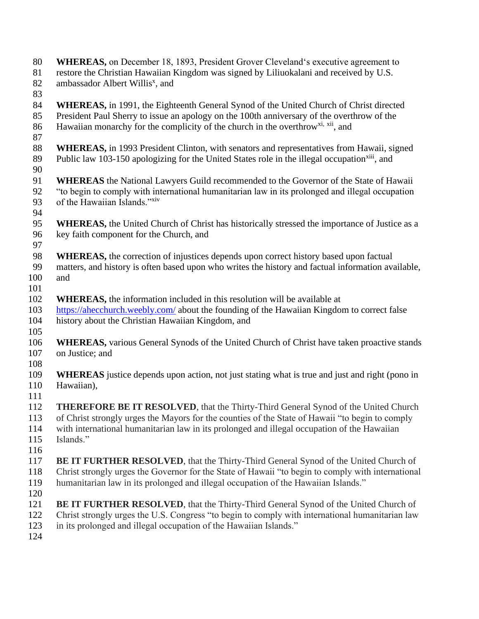<span id="page-2-0"></span> **WHEREAS,** on December 18, 1893, President Grover Clevelandʻs executive agreement to restore the Christian Hawaiian Kingdom was signed by Liliuokalani and received by U.S. 82 ambassador Albert Willis<sup>x</sup>, and **WHEREAS,** in 1991, the Eighteenth General Synod of the United Church of Christ directed President Paul Sherry to issue an apology on the 100th anniversary of the overthrow of the 86 Hawaiian monarchy for the complicity of the church in the overthrow<sup>xi, xii</sup>, and **WHEREAS,** in 1993 President Clinton, with senators and representatives from Hawaii, signed 89 Public law 103-150 apologizing for the United States role in the illegal occupation<sup>xiii</sup>, and **WHEREAS** the National Lawyers Guild recommended to the Governor of the State of Hawaii "to begin to comply with international humanitarian law in its prolonged and illegal occupation 93 of the Hawaiian Islands."xiv **WHEREAS,** the United Church of Christ has historically stressed the importance of Justice as a key faith component for the Church, and **WHEREAS,** the correction of injustices depends upon correct history based upon factual matters, and history is often based upon who writes the history and factual information available, and **WHEREAS,** the information included in this resolution will be available at <https://ahecchurch.weebly.com/> about the founding of the Hawaiian Kingdom to correct false history about the Christian Hawaiian Kingdom, and **WHEREAS,** various General Synods of the United Church of Christ have taken proactive stands on Justice; and **WHEREAS** justice depends upon action, not just stating what is true and just and right (pono in Hawaiian), **THEREFORE BE IT RESOLVED**, that the Thirty-Third General Synod of the United Church of Christ strongly urges the Mayors for the counties of the State of Hawaii "to begin to comply with international humanitarian law in its prolonged and illegal occupation of the Hawaiian Islands." **BE IT FURTHER RESOLVED**, that the Thirty-Third General Synod of the United Church of Christ strongly urges the Governor for the State of Hawaii "to begin to comply with international humanitarian law in its prolonged and illegal occupation of the Hawaiian Islands." **BE IT FURTHER RESOLVED**, that the Thirty-Third General Synod of the United Church of Christ strongly urges the U.S. Congress "to begin to comply with international humanitarian law in its prolonged and illegal occupation of the Hawaiian Islands."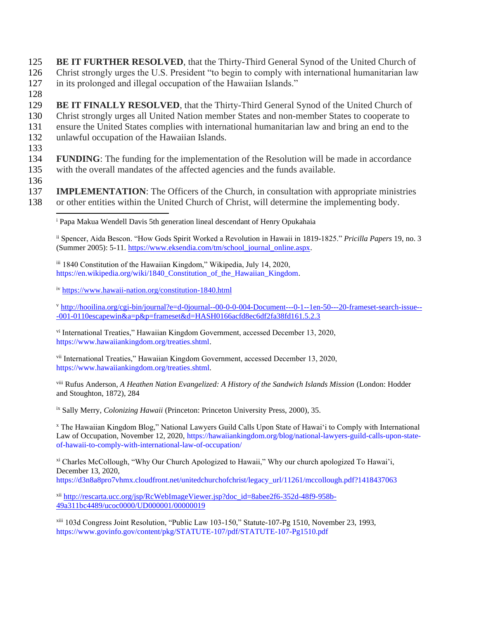**125 BE IT FURTHER RESOLVED, that the Thirty-Third General Synod of the United Church of** 126 Christ strongly urges the U.S. President "to begin to comply with international humanitarian law 127 in its prolonged and illegal occupation of the Hawaiian Islands."

128

129 **BE IT FINALLY RESOLVED**, that the Thirty-Third General Synod of the United Church of 130 Christ strongly urges all United Nation member States and non-member States to cooperate to 131 ensure the United States complies with international humanitarian law and bring an end to the

- 132 unlawful occupation of the Hawaiian Islands.
- 133

134 **FUNDING**: The funding for the implementation of the Resolution will be made in accordance

- 135 with the overall mandates of the affected agencies and the funds available.
- 136

137 **IMPLEMENTATION**: The Officers of the Church, in consultation with appropriate ministries 138 or other entities within the United Church of Christ, will determine the implementing body.

<sup>i</sup> Papa Makua Wendell Davis 5th generation lineal descendant of Henry Opukahaia

ii Spencer, Aida Bescon. "How Gods Spirit Worked a Revolution in Hawaii in 1819-1825." *Pricilla Papers* 19, no. 3 (Summer 2005): 5-11. [https://www.eksendia.com/tm/school\\_journal\\_online.aspx.](https://linkprotect.cudasvc.com/url?a=https%3a%2f%2fwww.eksendia.com%2ftm%2fschool_journal_online.aspx&c=E,1,2ciSEUljBBnKd19NE_c_uMQasKPEPU-tnjB6j99Wc3fxHLyJ7Bzlo2aKX_zXp9Ut-4yoaXdpZ0R0oE29onk2p-5pj2x7CVCOmYjwycT4crKtJHuHa34,&typo=1)

iii 1840 Constitution of the Hawaiian Kingdom," Wikipedia, July 14, 2020, [https://en.wikipedia.org/wiki/1840\\_Constitution\\_of\\_the\\_Hawaiian\\_Kingdom.](https://en.wikipedia.org/wiki/1840_Constitution_of_the_Hawaiian_Kingdom)

iv <https://www.hawaii-nation.org/constitution-1840.html>

v [http://hooilina.org/cgi-bin/journal?e=d-0journal--00-0-0-004-Document---0-1--1en-50---20-frameset-search-issue--](http://hooilina.org/cgi-bin/journal?e=d-0journal--00-0-0-004-Document---0-1--1en-50---20-frameset-search-issue---001-0110escapewin&a=p&p=frameset&d=HASH0166acfd8ec6df2fa38fd161.5.2.3) [-001-0110escapewin&a=p&p=frameset&d=HASH0166acfd8ec6df2fa38fd161.5.2.3](http://hooilina.org/cgi-bin/journal?e=d-0journal--00-0-0-004-Document---0-1--1en-50---20-frameset-search-issue---001-0110escapewin&a=p&p=frameset&d=HASH0166acfd8ec6df2fa38fd161.5.2.3)

vi International Treaties," Hawaiian Kingdom Government, accessed December 13, 2020, [https://www.hawaiiankingdom.org/treaties.shtml.](https://www.hawaiiankingdom.org/treaties.shtml)

vii International Treaties," Hawaiian Kingdom Government, accessed December 13, 2020, [https://www.hawaiiankingdom.org/treaties.shtml.](https://www.hawaiiankingdom.org/treaties.shtml)

viii Rufus Anderson, *A Heathen Nation Evangelized: A History of the Sandwich Islands Mission* (London: Hodder and Stoughton, 1872), 284

ix Sally Merry, *Colonizing Hawaii* (Princeton: Princeton University Press, 2000), 35.

<sup>x</sup> The Hawaiian Kingdom Blog," National Lawyers Guild Calls Upon State of Hawai'i to Comply with International Law of Occupation, November 12, 2020, [https://hawaiiankingdom.org/blog/national-lawyers-guild-calls-upon-state](https://hawaiiankingdom.org/blog/national-lawyers-guild-calls-upon-state-of-hawaii-to-comply-with-international-law-of-occupation/)[of-hawaii-to-comply-with-international-law-of-occupation/](https://hawaiiankingdom.org/blog/national-lawyers-guild-calls-upon-state-of-hawaii-to-comply-with-international-law-of-occupation/)

xi Charles McCollough, "Why Our Church Apologized to Hawaii," Why our church apologized To Hawai'i, December 13, 2020, [https://d3n8a8pro7vhmx.cloudfront.net/unitedchurchofchrist/legacy\\_url/11261/mccollough.pdf?1418437063](https://d3n8a8pro7vhmx.cloudfront.net/unitedchurchofchrist/legacy_url/11261/mccollough.pdf?1418437063)

xii [http://rescarta.ucc.org/jsp/RcWebImageViewer.jsp?doc\\_id=8abee2f6-352d-48f9-958b-](http://rescarta.ucc.org/jsp/RcWebImageViewer.jsp?doc_id=8abee2f6-352d-48f9-958b-49a311bc4489/ucoc0000/UD000001/00000019)[49a311bc4489/ucoc0000/UD000001/00000019](http://rescarta.ucc.org/jsp/RcWebImageViewer.jsp?doc_id=8abee2f6-352d-48f9-958b-49a311bc4489/ucoc0000/UD000001/00000019)

xiii 103d Congress Joint Resolution, "Public Law 103-150," Statute-107-Pg 1510, November 23, 1993, <https://www.govinfo.gov/content/pkg/STATUTE-107/pdf/STATUTE-107-Pg1510.pdf>